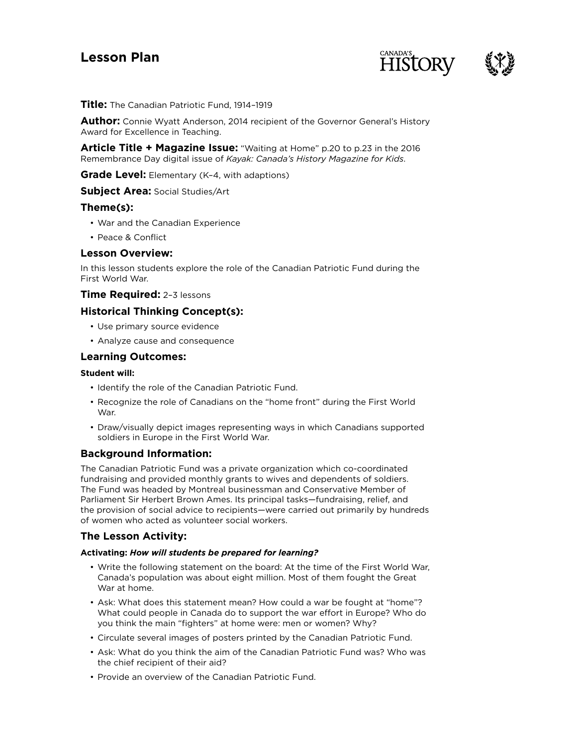# **Lesson Plan**





**Title:** The Canadian Patriotic Fund, 1914–1919

**Author:** Connie Wyatt Anderson, 2014 recipient of the Governor General's History Award for Excellence in Teaching.

**Article Title + Magazine Issue:** "Waiting at Home" p.20 to p.23 in the 2016 Remembrance Day digital issue of *Kayak: Canada's History Magazine for Kids*.

**Grade Level:** Elementary (K-4, with adaptions)

**Subject Area:** Social Studies/Art

# **Theme(s):**

- War and the Canadian Experience
- Peace & Conflict

# **Lesson Overview:**

In this lesson students explore the role of the Canadian Patriotic Fund during the First World War.

# **Time Required:** 2–3 lessons

# **Historical Thinking Concept(s):**

- Use primary source evidence
- Analyze cause and consequence

# **Learning Outcomes:**

## **Student will:**

- Identify the role of the Canadian Patriotic Fund.
- Recognize the role of Canadians on the "home front" during the First World War.
- Draw/visually depict images representing ways in which Canadians supported soldiers in Europe in the First World War.

# **Background Information:**

The Canadian Patriotic Fund was a private organization which co-coordinated fundraising and provided monthly grants to wives and dependents of soldiers. The Fund was headed by Montreal businessman and Conservative Member of Parliament Sir Herbert Brown Ames. Its principal tasks—fundraising, relief, and the provision of social advice to recipients—were carried out primarily by hundreds of women who acted as volunteer social workers.

# **The Lesson Activity:**

#### **Activating:** *How will students be prepared for learning?*

- Write the following statement on the board: At the time of the First World War, Canada's population was about eight million. Most of them fought the Great War at home.
- Ask: What does this statement mean? How could a war be fought at "home"? What could people in Canada do to support the war effort in Europe? Who do you think the main "fighters" at home were: men or women? Why?
- Circulate several images of posters printed by the Canadian Patriotic Fund.
- Ask: What do you think the aim of the Canadian Patriotic Fund was? Who was the chief recipient of their aid?
- Provide an overview of the Canadian Patriotic Fund.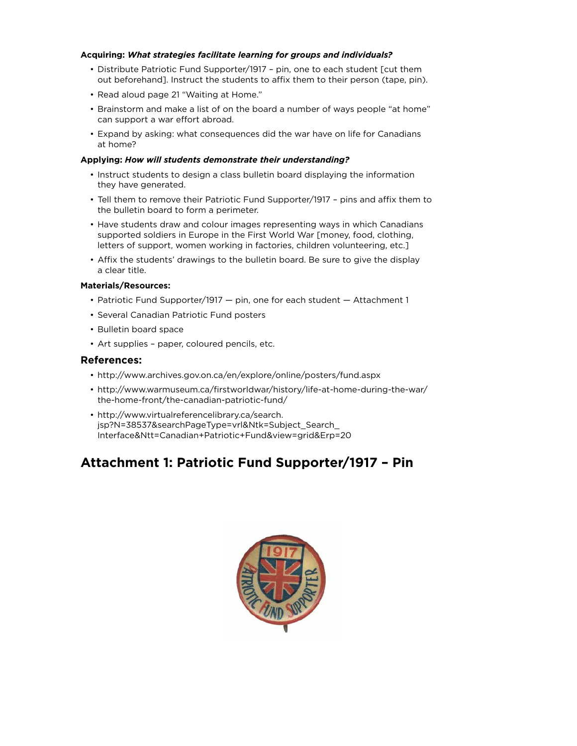## **Acquiring:** *What strategies facilitate learning for groups and individuals?*

- Distribute Patriotic Fund Supporter/1917 pin, one to each student [cut them out beforehand]. Instruct the students to affix them to their person (tape, pin).
- Read aloud page 21 "Waiting at Home."
- Brainstorm and make a list of on the board a number of ways people "at home" can support a war effort abroad.
- Expand by asking: what consequences did the war have on life for Canadians at home?

## **Applying:** *How will students demonstrate their understanding?*

- Instruct students to design a class bulletin board displaying the information they have generated.
- Tell them to remove their Patriotic Fund Supporter/1917 pins and affix them to the bulletin board to form a perimeter.
- Have students draw and colour images representing ways in which Canadians supported soldiers in Europe in the First World War [money, food, clothing, letters of support, women working in factories, children volunteering, etc.]
- Affix the students' drawings to the bulletin board. Be sure to give the display a clear title.

## **Materials/Resources:**

- Patriotic Fund Supporter/1917 pin, one for each student Attachment 1
- Several Canadian Patriotic Fund posters
- Bulletin board space
- Art supplies paper, coloured pencils, etc.

# **References:**

- http://www.archives.gov.on.ca/en/explore/online/posters/fund.aspx
- http://www.warmuseum.ca/firstworldwar/history/life-at-home-during-the-war/ the-home-front/the-canadian-patriotic-fund/
- http://www.virtualreferencelibrary.ca/search. jsp?N=38537&searchPageType=vrl&Ntk=Subject\_Search\_ Interface&Ntt=Canadian+Patriotic+Fund&view=grid&Erp=20

# **Attachment 1: Patriotic Fund Supporter/1917 – Pin**